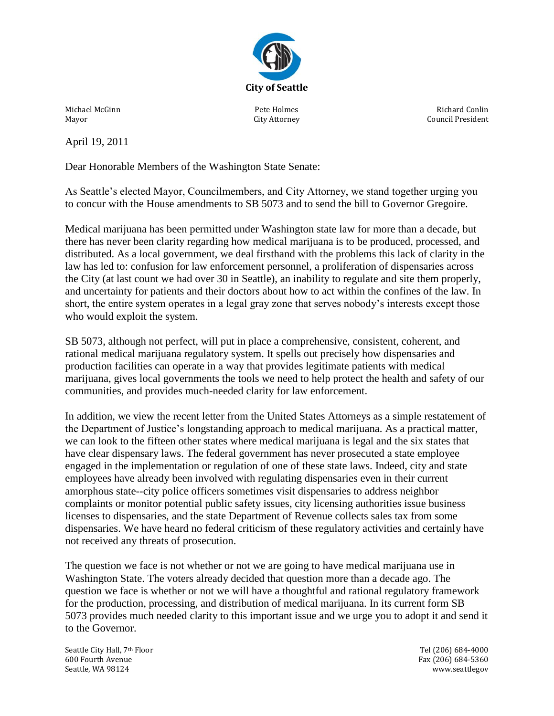

Michael McGinn Mayor

Pete Holmes City Attorney

Richard Conlin Council President

April 19, 2011

Dear Honorable Members of the Washington State Senate:

As Seattle's elected Mayor, Councilmembers, and City Attorney, we stand together urging you to concur with the House amendments to SB 5073 and to send the bill to Governor Gregoire.

Medical marijuana has been permitted under Washington state law for more than a decade, but there has never been clarity regarding how medical marijuana is to be produced, processed, and distributed. As a local government, we deal firsthand with the problems this lack of clarity in the law has led to: confusion for law enforcement personnel, a proliferation of dispensaries across the City (at last count we had over 30 in Seattle), an inability to regulate and site them properly, and uncertainty for patients and their doctors about how to act within the confines of the law. In short, the entire system operates in a legal gray zone that serves nobody's interests except those who would exploit the system.

SB 5073, although not perfect, will put in place a comprehensive, consistent, coherent, and rational medical marijuana regulatory system. It spells out precisely how dispensaries and production facilities can operate in a way that provides legitimate patients with medical marijuana, gives local governments the tools we need to help protect the health and safety of our communities, and provides much-needed clarity for law enforcement.

In addition, we view the recent letter from the United States Attorneys as a simple restatement of the Department of Justice's longstanding approach to medical marijuana. As a practical matter, we can look to the fifteen other states where medical marijuana is legal and the six states that have clear dispensary laws. The federal government has never prosecuted a state employee engaged in the implementation or regulation of one of these state laws. Indeed, city and state employees have already been involved with regulating dispensaries even in their current amorphous state--city police officers sometimes visit dispensaries to address neighbor complaints or monitor potential public safety issues, city licensing authorities issue business licenses to dispensaries, and the state Department of Revenue collects sales tax from some dispensaries. We have heard no federal criticism of these regulatory activities and certainly have not received any threats of prosecution.

The question we face is not whether or not we are going to have medical marijuana use in Washington State. The voters already decided that question more than a decade ago. The question we face is whether or not we will have a thoughtful and rational regulatory framework for the production, processing, and distribution of medical marijuana. In its current form SB 5073 provides much needed clarity to this important issue and we urge you to adopt it and send it to the Governor.

Seattle City Hall, 7th Floor **Seattle City Hall, 7th Floor** Seattle City Hall, 7th Floor 600 Fourth Avenue Fax (206) 684-5360 Seattle, WA 98124 www.seattlegov